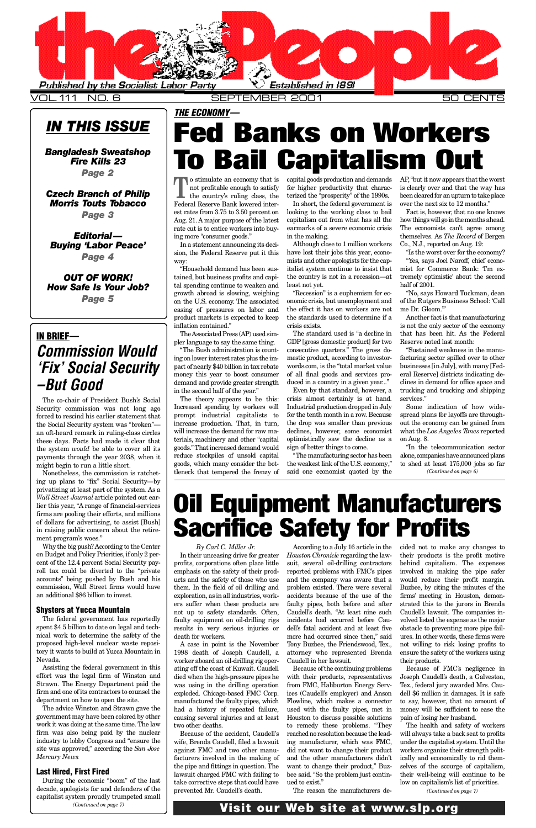*Page 5*

### <span id="page-0-0"></span>IN BRIEF— *Commission Would 'Fix' Social Security –But Good*

The co-chair of President Bush's Social Security commission was not long ago forced to rescind his earlier statement that the Social Security system was "broken" an oft-heard remark in ruling-class circles these days. Facts had made it clear that the system *would* be able to cover all its [payments through the year 2038, when it](#page-1-0) might begin to run a little short.

Nonetheless, the commission is ratcheting up plans to "fix" Social Security—by privatizing at least part of the system. As a *Wall Street Journal* article pointed out ear[lier this year, "A range of financial-services](#page-2-0) firms are pooling their efforts, and millions of dollars for advertising, to assist [Bush] in raising public concern about the retirement program's woes."

Why the big push? According to the Center [on Budget and Policy Priorities, if only 2 per](#page-3-0)cent of the 12.4 percent Social Security payroll tax could be diverted to the "private [accounts" being pushed by Bush and his](#page-4-0) commission, Wall Street firms would have an additional \$86 billion to invest.

### Shysters at Yucca Mountain

The federal government has reportedly spent \$4.5 billion to date on legal and technical work to determine the safety of the proposed high-level nuclear waste repository it wants to build at Yucca Mountain in Nevada.

Assisting the federal government in this effort was the legal firm of Winston and Strawn. The Energy Department paid the firm and one of its contractors to counsel the department on how to open the site.

The advice Winston and Strawn gave the government may have been colored by other work it was doing at the same time. The law firm was also being paid by the nuclear industry to lobby Congress and "ensure the site was approved," according the *San Jose Mercury News*.

### Last Hired, First Fired

During the economic "boom" of the last decade, apologists for and defenders of the capitalist system proudly trumpeted small *(Continued on page 7)*

growth abroad is slowing, weighing on the U.S. economy. The associated easing of pressures on labor and product markets is expected to keep inflation contained."

The Associated Press (AP) used simpler language to say the same thing.

"The Bush administration is counting on lower interest rates plus the impact of nearly \$40 billion in tax rebate money this year to boost consumer demand and provide greater strength in the second half of the year. "

The theory appears to be this: Increased spending by workers will prompt industrial capitalists to increase production. That, in turn, will increase the demand for raw materials, machinery and other "capital" goods." That increased demand would reduce stockpiles of unsold capital goods, which many consider the bottleneck that tempered the frenzy of

Recession" is a euphemism for economic crisis, but unemployment and the effect it has on workers are not the standards used to determine if a crisis exists.

The standard used is "a decline in GDP [gross domestic product] for two consecutive quarters." The gross dom estic product, according to investorwords.com, is the "total market value of all final goods and services produced in a country in a given year..."

Even by that standard, however, a crisis almost certainly is at hand. Industrial production dropped in July for the tenth month in a row. Because the drop was smaller than previous declines, however, some economist optimistically saw the decline as a sign of better things to come.

"The manufacturing sector has been the weakest link of the U.S. economy," said one economist quoted by the

on  $A<sub>i</sub>$ "In the telecommunication sector alone to sh

sprea out t what

of the me I

is no that Rese

factu busin eral **Reserve** cline truck servi

"IN

An

"Sı

 $\rm So$ 

## **Oil Equipment Manufacturers Sacrifice Safety for Profits**

*By Carl C. Miller Jr.* In their unceasing drive for greater profits, corporations often place little emphasis on the safety of their products and the safety of those who use them. In the field of oil drilling and exploration, as in all industries, workers suffer when these products are not up to safety standards. Often, faulty equipment on oil-drilling rigs results in very serious injuries or death for workers.

A case in point is the November 1998 death of Joseph Caudell, a worker aboard an oil-drilling rig operating off the coast of Kuwait. Caudell died when the high-pressure pipes he was using in the drilling operation exploded. Chicago-based FMC Corp. manufactured the faulty pipes, which had a history of repeated failure, causing several injuries and at least two other deaths.

Because of the accident, Caudell's wife, Brenda Caudell, filed a lawsuit against FMC and two other manufacturers involved in the making of the pipe and fittings in question. The lawsuit charged FMC with failing to take corrective steps that could have prevented Mr. Caudell's death.

According to a July 16 article in the *Houston Chronicle* regarding the lawsuit, several oil-drilling contractors reported problems with FMC's pipes and the company was aware that a problem existed. There were several accidents because of the use of the faulty pipes, both before and after Caudell's death. "At least nine such incidents had occurred before Caudell's fatal accident and at least five more had occurred since then," said Tony Buzbee, the Friendswood, Tex., attorney who represented Brenda Caudell in her lawsuit.

Because of the continuing problems with their products, representatives from FMC, Haliburton Energy Services (Caudell's employer) and Anson Flowline, which makes a connector used with the faulty pipes, met in Houston to discuss possible solutions to remedy these problems. "They reached no resolution because the leading manufacturer, which was FMC, did not want to change their product and the other manufacturers didn't want to change their product," Buzbee said. "So the problem just continued to exist."

The reason the manufacturers de-

cided their behin in vol woul **Buzb** firms strat Caud volve  $obstz$ ures. not **v** ensure their  $_{\rm Be}$ Jose<sub>l</sub>

Tex., dell : to  $s\epsilon$ mone pain  $\rm Th$ 

will a unde work ically selve  $_{\rm their}$ low on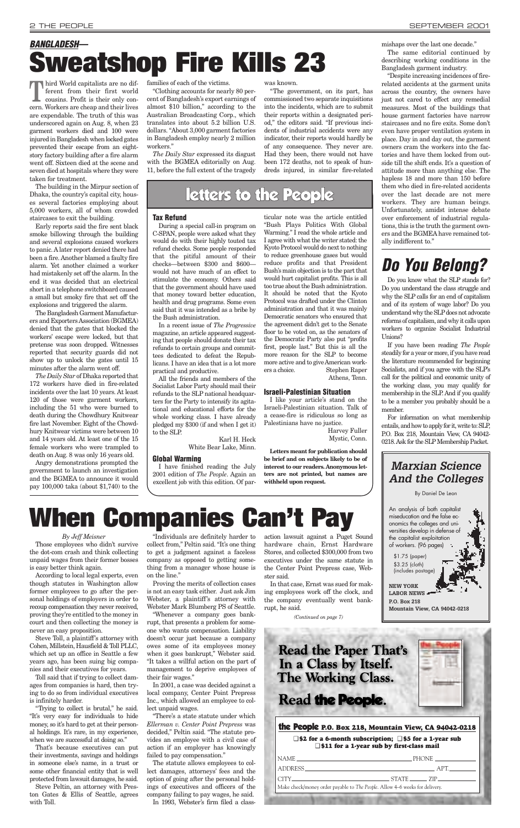### *By Jeff Meisner*

Those employees who didn't survive the dot-com crash and think collecting unpaid wages from their former bosses is easy better think again.

According to local legal experts, even though statutes in Washington allow former employees to go after the personal holdings of employers in order to recoup compensation they never received, proving they're entitled to the money in court and then collecting the money is never an easy proposition. Steve Toll, a plaintiff's attorney with Cohen, Millstein, Hausfield & Toll PLLC, which set up an office in Seattle a few years ago, has been suing big companies and their executives for years. Toll said that if trying to collect damages from companies is hard, then trying to do so from individual executives is infinitely harder.

"Trying to collect is brutal," he said. "It's very easy for individuals to hide money, so it's hard to get at their personal holdings. It's rare, in my experience, when we are successful at doing so."

That's because executives can put their investments, savings and holdings in someone else's name, in a trust or some other financial entity that is well protected from lawsuit damages, he said.

Steve Peltin, an attorney with Preston Gates & Ellis of Seattle, agrees with Toll.

"Individuals are definitely harder to collect from," Peltin said. "It's one thing to get a judgment against a faceless company as opposed to getting something from a manager whose house is on the line."

Proving the merits of collection cases is not an easy task either. Just ask Jim Webster, a plaintiff's attorney with Webster Mark Blumberg PS of Seattle.

Third World capitalists are no different from their first world cousins. Profit is their only concern. Workers are cheap and their lives are expendable. The truth of this was underscored again on Aug. 8, when 23 garment workers died and 100 were injured in Bangladesh when locked gates prevented their escape from an eightstory factory building after a fire alarm went off. Sixteen died at the scene and seven died at hospitals where they were taken for treatment.

> "Whenever a company goes bankrupt, that presents a problem for someone who wants compensation. Liability doesn't occur just because a company owes some of its employees money when it goes bankrupt," Webster said. "It takes a willful action on the part of management to deprive employees of their fair wages."

> In 2001, a case was decided against a local company, Center Point Prepress Inc., which allowed an employee to collect unpaid wages.

> "There's a state statute under which *Ellerman v. Center Point Prepress* was decided," Peltin said. "The statute provides an employee with a civil case of action if an employer has knowingly failed to pay compensation."

> The statute allows employees to collect damages, attorneys' fees and the option of going after the personal holdings of executives and officers of the company failing to pay wages, he said. In 1993, Webster's firm filed a class

action lawsuit against a Puget Sound hardware chain, Ernst Hardware Stores, and collected \$300,000 from two executives under the same statute in the Center Point Prepress case, Webster said.

In that case, Ernst was sued for making employees work off the clock, and the company eventually went bankrupt, he said.

### <span id="page-1-0"></span>2 THE PEOPLE [SEPTEMBER 2001](#page-0-0)

# **When Companies Can't Pay**

The building in the Mirpur section of Dhaka, the country's capital city, houses several factories employing about 5,000 workers, all of whom crowded staircases to exit the building.

Early reports said the fire sent black smoke billowing through the building and several explosions caused workers to panic. A later report denied there had been a fire. Another blamed a faulty fire alarm. Yet another claimed a worker had mistakenly set off the alarm. In the end it was decided that an electrical short in a telephone switchboard caused a small but smoky fire that set off the explosions and triggered the alarm.

The Bangladesh Garment Manufacturers and Exporters Association (BGMEA) denied that the gates that blocked the workers' escape were locked, but that pretense was soon dropped. Witnesses reported that security guards did not show up to unlock the gates until 15 minutes after the alarm went off.

*The Daily Star* of Dhaka reported that 172 workers have died in fire-related incidents over the last 10 years. At least 120 of those were garment workers, including the 51 who were burned to death during the Chowdhury Knitwear fire last November. Eight of the Chowdhury Knitwear victims were between 10 and 14 years old. At least one of the 15 female workers who were trampled to death on Aug. 8 was only 16 years old.

Angry demonstrations prompted the government to launch an investigation and the BGMEA to announce it would pay 100,000 taka (about \$1,740) to the families of each of the victims.

"Clothing accounts for nearly 80 percent of Bangladesh's export earnings of almost \$10 billion," according to the Australian Broadcasting Corp., which translates into about 5.2 billion U.S. dollars. "About 3,000 garment factories in Bangladesh employ nearly 2 million workers."

*The Daily Star* expressed its disgust with the BGMEA editorially on Aug. 11, before the full extent of the tragedy was known.

"The government, on its part, has commissioned two separate inquisitions into the incidents, which are to submit their reports within a designated period," the editors said. "If previous inci-

### dents of industrial accidents were any indicator, their reports would hardly be of any consequence. They never are. Had they been, there would not have

been 172 deaths, not to speak of hundreds injured, in similar fire-related

### mishaps over the last one decade."

The same editorial continued by describing working conditions in the Bangladesh garment industry.

"Despite increasing incidences of firerelated accidents at the garment units across the country, the owners have just not cared to effect any remedial measures. Most of the buildings that house garment factories have narrow staircases and no fire exits. Some don't even have proper ventilation system in place. Day in and day out, the garment owners cram the workers into the factories and have them locked from outside till the shift ends. It's a question of attitude more than anything else. The hapless 18 and more than 150 before them who died in fire-related accidents over the last decade are not mere workers. They are human beings. Unfortunately, amidst intense debate over enforcement of industrial regulations, this is the truth the garment owners and the BGMEAhave remained totally indifferent to."

**BANGLADESH—**

**Sweatshop Fire Kills 23** 

## **Do You Belong?**

Do you know what the SLP stands for? Do you understand the class struggle and why the SLP calls for an end of capitalism and of its system of wage labor? Do you understand why the SLP does not advocate reforms of capitalism, and why it calls upon workers to organize Socialist Industrial Unions?

If you have been reading *The People* steadily for a year or more, if you have read the literature recommended for beginning Socialists, and if you agree with the SLP's call for the political and economic unity of the working class, you may qualify for membership in the SLP. And if you qualify to be a member you probably should be a member.

For information on what membership entails, and how to apply for it, write to: SLP, P.O. Box 218, Mountain View, CA 94042- 0218. Ask for the SLP Membership Packet.

### the People **P.O. Box 218, Mountain View, CA 94042-0218**

❑ **\$2 for a 6-month subscription;** ❑ **\$5 for a 1-year sub** ❑ **\$11 for a 1-year sub by first-class mail**

| <b>I</b> NAME _____________________                                         | PHONE $\_\_$ |  |
|-----------------------------------------------------------------------------|--------------|--|
|                                                                             | $APT$ ___    |  |
| $CITY$ $STATE$ $ZIP$                                                        |              |  |
| Make check/money order payable to The People. Allow 4–6 weeks for delivery. |              |  |
|                                                                             |              |  |

### **Tax Refund**

During a special call-in program on C-SPAN, people were asked what they would do with their highly touted tax refund checks. Some people responded that the pitiful amount of their checks—between \$300 and \$600 would not have much of an effect to stimulate the economy. Others said that the government should have used that money toward better education, health and drug programs. Some even said that it was intended as a bribe by the Bush administration.

In a recent issue of *The Progressive* magazine, an article appeared suggesting that people should donate their tax refunds to certain groups and committees dedicated to defeat the Republicans. I have an idea that is a lot more practical and productive.

All the friends and members of the Socialist Labor Party should mail their refunds to the SLP national headquarters for the Party to intensify its agitational and educational efforts for the whole working class. I have already pledged my \$300 (if and when I get it) to the SLP.

> Karl H. Heck White Bear Lake, Minn.

### **Global Warming**

I have finished reading the July 2001 edition of *The People*. Again an excellent job with this edition. Of particular note was the article entitled "Bush Plays Politics With Global Warming." I read the whole article and I agree with what the writer stated: the Kyoto Protocol would do next to nothing to reduce greenhouse gases but would reduce profits and that President Bush's main objection is to the part that would hurt capitalist profits. This is all too true about the Bush administration. It should be noted that the Kyoto Protocol was drafted under the Clinton administration and that it was mainly Democratic senators who ensured that the agreement didn't get to the Senate floor to be voted on, as the senators of the Democratic Party also put "profits first, people last." But this is all the more reason for the SLP to become more active and to give American workers a choice. Stephen Raper Athens, Tenn.

### **Israeli-Palestinian Situation**

I like your article's stand on the Israeli-Palestinian situation. Talk of a cease-fire is ridiculous so long as Palestinians have no justice.

Harvey Fuller Mystic, Conn.

**Letters meant for publication should be brief and on subjects likely to be of interest to our readers. Anonymous letters are not printed, but names are withheld upon request.**

### letters to the People

### **Marxian Science And the Colleges**



An analysis of both capitalist miseducation and the false economics the colleges and universities develop in defense of the capitalist exploitation of workers. (96 pages) \$1.75 (paper) \$3.25 (cloth) (includes postage) **NEW YORK**

**LABOR NEWS P.O. Box 218 Mountain View, CA 94042-0218**

*(Continued on page 7)*

### **Read the Paper That's** In a Class by Itself. **The Working Class.**

### Read the People.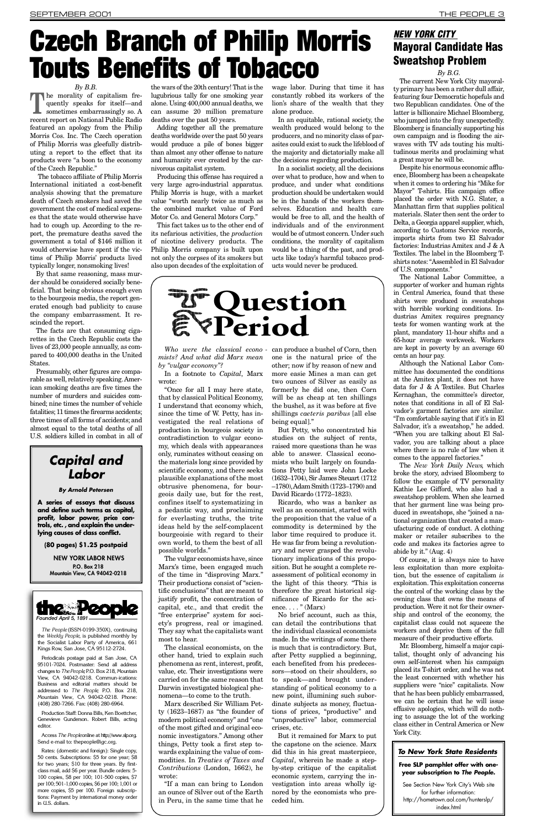<span id="page-2-0"></span> $f$  . The being obvious end  $f$  and  $f$ to the bourgeois media, the report generated enough bad publicity to cause the company embarrassment. It rescinded the report.

The facts are that consuming cigarettes in the Czech Republic costs the lives of 23,000 people annually, as compared to 400,000 deaths in the United States.

Presumably, other figures are comparable as well, relatively speaking. American smoking deaths are five times the number of murders and suicides combined; nine times the number of vehicle fatalities; 11 times the firearms accidents; three times of all forms of accidents; and almost equal to the total deaths of all U.S. soldiers killed in combat in all of

### **Capital and Labor**

### **By Arnold Petersen**

**A series of essays that discuss and define such terms as capital, p rofit, labor power, price cont rols, etc. , and explain the underlying causes of class conflict.**

**(80 pages) \$1.25 postpaid**

NEW YORK LABOR NEWS P.O. Box 218 Mountain View, CA 94042-0218



*The People* (ISSN-0199-350X), continuing the *Weekly People*, is published monthly by the Socialist Labor Party of America, 661 Kings Row, San Jose, CA 95112-2724.

Periodicals postage paid at San Jose, CA 95101-7024. Postmaster: Send all address changes to *The People*, P.O. Box 218, Mountain View, CA 94042-0218. Commun-ications: Business and editorial matters should be addressed to *The People*, P.O. Box 218, Mountain View, CA 94042-0218. Phone: (408) 280-7266. Fax: (408) 280-6964.

Production Staff: Donna Bills, Ken Boettcher, Genevieve Gunderson. Robert Bills, acting e dit or.

Access The Peopleonline at http://www.slp.org. Send e-mail to: thepeople@igc.org.

Rates: (domestic and foreign): Single copy, 50 cents. Subscriptions: \$5 for one year; \$8 for two years; \$10 for three years. By firstclass mail, add \$6 per year. Bundle orders: 5- 100 copies, \$8 per 100; 101-500 copies, \$7 per 100; 501-1,000 copies, \$6 per 100; 1,001 or more copies, \$5 per 100. Foreign subscriptions: Payment by international money order in U.S. dollars.

## **[Qu e s tion](#page-0-0)  Period**

*Who were the classical econo mists? And what did Marx mean by "vulgar economy"?*

In a footnote to *Capital*, Marx wrote:

"Once for all I may here state, that by classical Political Economy, I understand that economy which, since the time of W. Petty, has investigated the real relations of production in bourgeois society in contradistinction to vulgar economy, which deals with appearances only, ruminates without ceasing on the materials long since provided by scientific economy, and there seeks plausible explanations of the most obtrusive phenomena, for bourgeois daily use, but for the rest, confines itself to systematizing in a pedantic way, and proclaiming for everlasting truths, the trite ideas held by the self-complacent bourgeoisie with regard to their own world, to them the best of all possible worlds."

The vulgar economists have, since Marx's time, been engaged much of the time in "disproving Marx." Their productions consist of "scientific conclusions" that are meant to justify profit, the concentration of capital, etc., and that credit the "free enterprise" system for society's progress, real or imagined. They say what the capitalists want most to hear.

The classical economists, on the other hand, tried to explain such phenomena as rent, interest, profit, value, etc. Their investigations were carried on for the same reason that Darwin investigated biological phenomena—to come to the truth.

Marx described Sir William Petty (1623–1687) as "the founder of modern political economy" and "one of the most gifted and original economic investigators." Among other things, Petty took a first step towards explaining the value of commodities. In *Treaties of Taxes and Contributions* (London, 1662), he wrote:

"If a man can bring to London an ounce of Silver out of the Earth in Peru, in the same time that he can produce a bushel of Corn, then one is the natural price of the other; now if by reason of new and more easie Mines a man can get two ounces of Silver as easily as formerly he did one, then Corn will be as cheap at ten shillings the bushel, as it was before at five shillings *caeteris paribus* [all else being equal]."

But Petty, who concentrated his studies on the subject of rents, raised more questions than he was able to answer. Classical economists who built largely on foundations Petty laid were John Locke (1632–1704), Sir James Steuart (1712 –1780), Adam Smith (1723–1790) and David Ricardo (1772–1823).

Ricardo, who was a banker as well as an economist, started with the proposition that the value of a commodity is determined by the labor time required to produce it. He was far from being a revolutionary and never grasped the revolutionary implications of this proposition. But he sought a complete reassessment of political economy in the light of this theory. "This is therefore the great historical significance of Ricardo for the science.  $\dots$  " (Marx)

No brief account, such as this, can detail the contributions that the individual classical economists made. In the writings of some there is much that is contradictory. But, after Petty supplied a beginning, each benefited from his predecessors—stood on their shoulders, so to speak—and brought understanding of political economy to a new point, illumining such subordinate subjects as money, fluctuations of prices, "productive" and "unproductive" labor, commercial crises, etc.

But it remained for Marx to put the capstone on the science. Marx did this in his great masterpiece, *Capital*, wherein he made a stepby-step critique of the capitalist economic system, carrying the investigation into areas wholly ignored by the economists who preceded him.

in cen shirts with h dustria tests fo plant, i  $65$ -hour are kep cents and

Altho

mittee at the data for Kernag notes t vador's "I'm con Salvad "When vador. where comes t

The *New York Daily News*, which broke t follow the follows: Kathie sweats. that he duced i tional c ufactur maker code an abide b

Of co less ex tion, b exploita the con owning production. We ship and contact ships and contact ships and contact ships and control of the end of the end of the end of the end of the end of the end of the end of the end of the end of the end of the end of the end of the end of the e capitali worker measur Mr. E

talist, own se placed is the lea supplie that he we can effusive ing to class ei York Ci

### **To New York State Residents**

**Free year** See

http: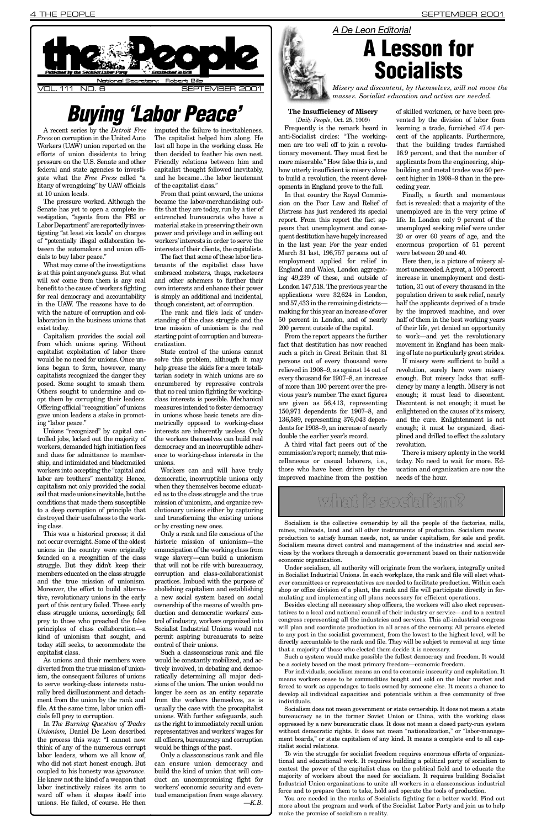<span id="page-3-0"></span>for real democracy and accountability in the UAW. The reasons have to do with the nature of corruption and collaboration in the business unions that exist today.

Capitalism provides the social soil from which unions spring. Without capitalist exploitation of labor there would be no need for unions. Once unions began to form, however, many capitalists recognized the danger they posed. Some sought to smash them. Others sought to undermine and coopt them by corrupting their leaders. Offering official "recognition" of unions gave union leaders a stake in promoting "labor peace."

Unions "recognized" by capital controlled jobs, locked out the majority of workers, demanded high initiation fees and dues for admittance to membership, and intimidated and blackmailed workers into accepting the "capital and labor are brothers" mentality. Hence, capitalism not only provided the social soil that made unions inevitable, but the conditions that made them susceptible to a deep corruption of principle that destroyed their usefulness to the working class.

This was a historical process; it did not occur overnight. Some of the oldest unions in the country were originally founded on a recognition of the class struggle. But they didn't keep their m embers educated on the class struggle and the true mission of unionism. Moreover, the effort to build alternative, revolutionary unions in the early part of this century failed. These early class struggle unions, accordingly, fell prey to those who preached the false principles of class collaboration—a kind of unionism that sought, and today still seeks, to accommodate the capitalist class.

As unions and their members were diverted from the true mission of unionism, the consequent failures of unions to serve working-class interests naturally bred disillusionment and detachment from the union by the rank and file. At the same time, labor union officials fell prey to corruption.

In *The Burning Question of Trades Unionism,* Daniel De Leon described the process this way: "I cannot now think of any of the numerous corrupt labor leaders, whom we all know of, who did not start honest enough. But coupled to his honesty was *ignorance*. He knew not the kind of a weapon that labor instinctively raises its arm to ward off when it shapes itself into unions. He failed, of course. He then is simply an additional and incidental, though consistent, act of corruption.

The rank and file's lack of understanding of the class struggle and the true mission of unionism is the real starting point of corruption and bureaucratization.

State control of the unions cannot solve this problem, although it may help grease the skids for a more totali[tarian society in which unions are so](#page-0-0) encumbered by repressive controls that no real union fighting for workingclass interests is possible. Mechanical measures intended to foster democracy in unions whose basic tenets are diametrically opposed to working-class interests are inherently useless. Only the workers themselves can build real democracy and an incorruptible adherence to working-class interests in the unions.

Workers can and will have truly democratic, incorruptible unions only when they themselves become educated as to the class struggle and the true mission of unionism, and organize revolutionary unions either by capturing and transforming the existing unions or by creating new ones.

Only a rank and file conscious of the historic mission of unionism—the emancipation of the working class from wage slavery—can build a unionism that will not be rife with bureaucracy, corruption and class-collaborationist practices. Imbued with the purpose of abolishing capitalism and establishing a new social system based on social ownership of the means of wealth production and democratic workers' control of industry, workers organized into Socialist Industrial Unions would not permit aspiring bureaucrats to seize control of their unions.

Such a classconscious rank and file would be constantly mobilized, and actively involved, in debating and democratically determining all major decisions of the union. The union would no longer be seen as an entity separate from the workers themselves, as is usually the case with the procapitalist unions. With further safeguards, such as the right to immediately recall union representatives and workers'wages for all officers, bureaucracy and corruption would be things of the past.

Only a classconscious rank and file can ensure union democracy and build the kind of union that will conduct an uncompromising fight for workers' economic security and eventual emancipation from wage slavery. *— K . B .*

applications were 32,624 in London, and 57,433 in the remaining districts making for this year an increase of over 50 percent in London, and of nearly 200 percent outside of the capital.

From the report appears the further fact that destitution has now reached such a pitch in Great Britain that 31 persons out of every thousand were relieved in 1908–9, as against 14 out of every thousand for 1907–8, an increase of more than 100 percent over the previous year's number. The exact figures are given as 56,413, representing 150,971 dependents for 1907–8, and 136,589, representing 376,043 dependents for 1908–9, an increase of nearly double the earlier year's record.

A third vital fact peers out of the commission's report; namely, that miscellaneous or casual laborers, i.e., those who have been driven by the improved machine from the position r evolu The: today. ucatio needs

popula half the by the half of of thei to wo mover.  $ing of$ 

revolu enough. ciency enough Discontent is not enterprise to the Discontent of the Discontent is not enterprise to the Discontent of the Discontent of the Discontent of the Discontent of the Discontent of the Discontent of the Discontent of the Discon enligh and the enoug plined

If  $m$ 

## what is soci

Socialism is the collective ownership by all the socialism mines, railroads, land and all other instruments production to satisfy human needs, not, as unde Socialism means direct control and management vices by the workers through a democratic govern economic organization.

Under socialism, all authority will originate from in Socialist Industrial Unions. In each workplace, ever committees or representatives are needed to shop or office division of a plant, the rank and fi mulating and implementing all plans necessary

Besides electing all necessary shop officers, the tatives to a local and national council of their ind congress representing all the industries and serv will plan and coordinate production in all areas of to any post in the socialist government, from the l directly accountable to the rank and file. They will that a majority of those who elected them decide it

Such a system would make possible the fullest be a society based on the most primary freedom-

For individuals, socialism means an end to economic means workers cease to be commodities bought a forced to work as appendages to tools owned by so develop all individual capacities and potentials individuals.

Socialism does not mean government or state ov bureaucracy as in the former Soviet Union or oppressed by a new bureaucratic class. It does no without democratic rights. It does not mean "na ment boards," or state capitalism of any kind. It italist social relations.

To win the struggle for socialist freedom requires tional and educational work. It requires building contest the power of the capitalist class on the majority of workers about the need for socialis Industrial Union organizations to unite all work force and to prepare them to take, hold and operation.

You are needed in the ranks of Socialists fight more about the program and work of the Socialis make the promise of socialism a reality.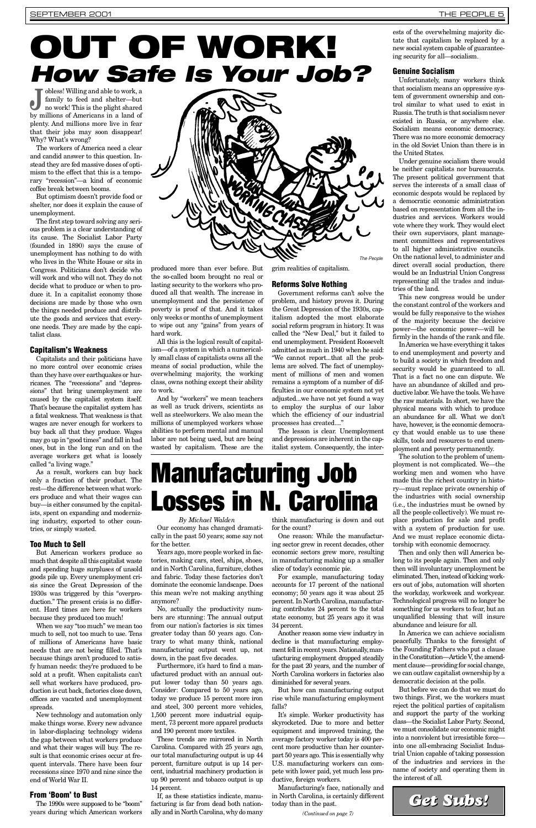<span id="page-4-0"></span>duce it. In a capitalist economy those decisions are made by those who own the things needed produce and distribute the goods and services that everyone needs. They are made by the capitalist class.

### Capitalism's Weakness

Capitalists and their politicians have no more control over economic crises than they have over earthquakes or hurricanes. The "recessions" and "depressions" that bring unemployment are caused by the capitalist system itself. That's because the capitalist system has a fatal weakness. That weakness is that wages are never enough for workers to buy back all that they produce. Wages may go up in "good times" and fall in bad ones, but in the long run and on the average workers get what is loosely called "a living wage."

As a result, workers can buy back only a fraction of their product. The rest—the difference between what workers produce and what their wages can buy—is either consumed by the capitalists, spent on expanding and modernizing industry, exported to other countries, or simply wasted.

### Too Much to Sell

But American workers produce so much that despite all this capitalist waste and spending huge surpluses of unsold goods pile up. Every unemployment crisis since the Great Depression of the 1930s was triggered by this "overproduction." The present crisis is no different. Hard times are here for workers because they produced too much!

When we say "too much" we mean too much to sell, not too much to use. Tens of millions of Americans have basic needs that are not being filled. That's because things aren't produced to satisfy human needs: they're produced to be sold at a profit. When capitalists can't sell what workers have produced, production is cut back, factories close down, offices are vacated and unemployment spreads.

New technology and automation only make things worse. Every new advance in labor-displacing technology widens the gap between what workers produce and what their wages will buy. The result is that economic crises occur at frequent intervals. There have been four recessions since 1970 and nine since the end of World War II.

### From 'Boom' to Bust

The 1990s were supposed to be "boom" years during which American workers duced all that wealth. The increase in unemployment and the persistence of poverty is proof of that. And it takes only weeks or months of unemployment to wipe out any "gains" from years of hard work.

All this is the logical result of capitalism—of a system in which a numerically small class of capitalists owns all the means of social production, while the overwhelming majority, the working class, owns nothing except their ability to work.

And by "workers" we mean teachers as well as truck drivers, scientists as well as steelworkers. We also mean the millions of unemployed workers whose abilities to perform mental and manual labor are not being used, but are being wasted by capitalism. These are the

Government reforms can't solve the problem, and history proves it. During the Great Depression of the 1930s, capitalism adopted the most elaborate social reform program in history. It was called the "New Deal," but it failed to end unemployment. President Roosevelt admitted as much in 1940 when he said: " We cannot report...that all the problems are solved. The fact of unemployment of millions of men and women remains a symptom of a number of difficulties in our economic system not yet adjusted...we have not yet found a way to employ the surplus of our labor which the efficiency of our industrial processes has created...."

The lesson is clear. Unemployment and depressions are inherent in the capitalist system. Consequently, the inter-

# Manufacturing Job Losses in N. Carolina

### **By Michael Walden**

Our economy has changed dramatically in the past 50 years; some say not for the better.

Years ago, more people worked in factories, making cars, steel, ships, shoes, and in North Carolina, furniture, clothes and fabric. Today these factories don't dominate the economic landscape. Does this mean we're not making anything anymore?

No, actually the productivity numbers are stunning: The annual output from our nation's factories is six times greater today than 50 years ago. Contrary to what many think, national manufacturing output went up, not down, in the past five decades.

Furthermore, it's hard to find a manufactured product with an annual output lower today than 50 years ago. Consider: Compared to 50 years ago, today we produce 15 percent more iron and steel, 300 percent more vehicles, 1,500 percent more industrial equipment, 73 percent more apparel products and 190 percent more textiles.

These trends are mirrored in North Carolina. Compared with 25 years ago, our total manufacturing output is up 44 percent, furniture output is up 14 percent, industrial machinery production is up 90 percent and tobacco output is up 14 percent.

If, as these statistics indicate, manufacturing is far from dead both nationally and in North Carolina, why do many think manufacturing is down and out for the count?

One reason: While the manufacturing sector grew in recent decades, other economic sectors grew more, resulting in manufacturing making up a smaller slice of today's economic pie.

For example, manufacturing today accounts for 17 percent of the national economy; 50 years ago it was about 25 percent. In North Carolina, manufacturing contributes 24 percent to the total state economy, but 25 years ago it was 34 percent.

Another reason some view industry in decline is that manufacturing employment fell in recent years. Nationally, manufacturing employment dropped steadily for the past 20 years, and the number of North Carolina workers in factories also diminished for several years.

But how can manufacturing output rise while manufacturing employment falls?

It's simple. Worker productivity has skyrocketed. Due to more and better equipment and improved training, the average factory worker today is 400 percent more productive than her counterpart 50 years ago. This is essentially why U.S. manufacturing workers can compete with lower paid, yet much less productive, foreign workers.

Manufacturing's face, nationally and in North Carolina, is certainly different today than in the past.

*(Continued on page 7)*

This the con would b of the powerfirmly i

In An

to end to build security That is have an ductive the raw physica an abu have, h cy that skills, t ployme

The s ployme working made this media ry—mu the ind  $(i.e., th)$ all the  $p$ place production produce proposing proposition in the proposition of  $\mathfrak{g}$ with a And we torship

Then long to then wi eliminat ers out the wor Technol someth unquali abunda In Ar

peacefu the Fou in the  $C$ ment cla we can democr

But **b** two thi reject the political parties of the political parties of the political parties of capital parties of capitalism and su class—t we mus into a n into on trial Un of the name o the inter-

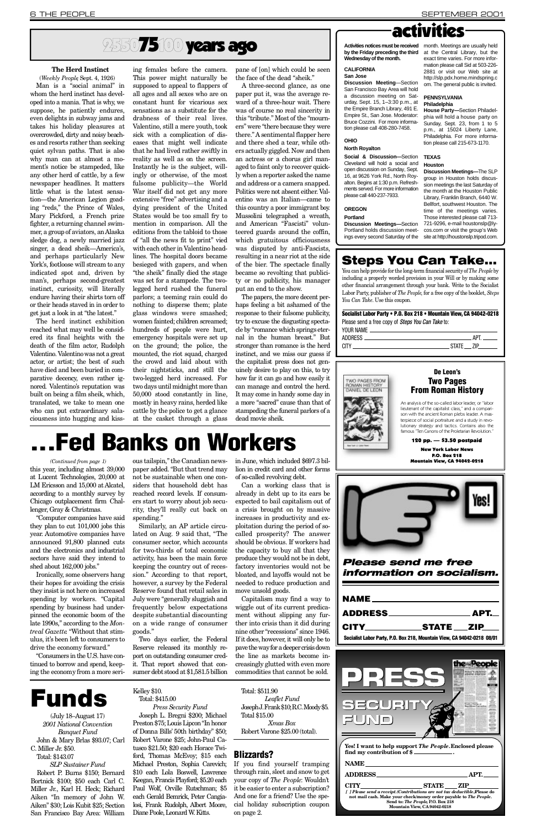(July 18–August 17) *2001 National Convention Banquet Fund* John & Mary Brlas \$93.07; Carl C. Miller Jr. \$50. Total: \$143.07

*S L P Sustainer Fund* Robert P. Burns \$150; Bernard Bortnick \$100; \$50 each Carl C. Miller Jr., Karl H. Heck; Richard Aiken "In memory of John W. Aiken" \$30; Lois Kubit \$25; Section San Francisco Bay Area: William

### Kelley \$10. Total: \$415.00

| <b>APT.__I</b>                                                          |
|-------------------------------------------------------------------------|
| CITY STATE ZIP                                                          |
| Socialist Labor Party, P.O. Box 218, Mountain View, CA 94042-0218 08/01 |

*Press Security Fund* Joseph L. Bregni \$200; Michael Preston \$75; Louis Lipcon "In honor of Donna Bills' 50th birthday" \$50; Robert Varone \$25; John-Paul Catusco  $$21.50; $20$  each Horace Twiford, Thomas McEvoy; \$15 each Michael Preston, Sophia Carevich; \$10 each Lola Boswell, Lawrence Keegan, Francis Playford; \$5.20 each Paul Wolf, Orville Rutschman; \$5 each Gerald Bemrick, Peter Cangialosi, Frank Rudolph, Albert Moore, Diane Poole, Leonard W. Kitts.

### Total: \$511.90

*Leaflet Fund* Joseph J. Frank \$10; R.C. Moody \$5. Total \$15.00

*Xmas Box* Robert Varone \$25.00 (total).

## 2550**75100 years ago**

The herd instinct exhibition reached what may well be considered its final heights with the death of the film actor, Rudolph Valentino. Valentino was not a great actor, or artist; the best of such have died and been buried in comparative decency, even rather ignored. Valentino's reputation was built on being a film sheik, which, translated, we take to mean one who can put extraordinary salaciousness into hugging and kiss-

### **The Herd Instinct**

(*Weekly People*, Sept. 4, 1926) Man is a "social animal" in whom the herd instinct has developed into a mania. That is why, we suppose, he patiently endures, even delights in subway jams and takes his holiday pleasures at overcrowded, dirty and noisy beaches and resorts rather than seeking quiet sylvan paths. That is also why man can at almost a moment's notice be stampeded, like any other herd of cattle, by a few newspaper headlines. It matters little what is the latest sensation—the American Legion goading "reds," the Prince of Wales, Mary Pickford, a French prize fighter, a returning channel swimmer, a group of aviators, an Alaska sledge dog, a newly married jazz singer, a dead sheik—America's, and perhaps particularly New York's, footloose will stream to any indicated spot and, driven by man's, perhaps second-greatest instinct, curiosity, will literally endure having their shirts torn off or their heads staved in in order to get just a look in at "the latest."

ing females before the camera.

#### **CALIFORNIA San Jose**

**Discussion Meeting-Section** San Francisco Bay Area will hold a discussion meeting on Saturday, Sept.  $15, 1-3:30$  p.m., at the Empire Branch Library, 491 E. Empire St., San Jose. Moderator: Bruce Cozzini. For more information please call 408-280-7458.

### **OHIO**

**Social & Discussion-Section** Cleveland will hold a social and open discussion on Sunday, Sept. 16, at 9626 York Rd., North Royalton. Begins at 1:30 p.m. Refreshments served. For more information please call 440-237-7933.

**Discussion Meetings—Section** Portland holds discussion meetings every second Saturday of the **House Party—**Section Philadelphia will hold a house party on Sunday, Sept. 23, from 1 to 5 p.m., at 15024 Liberty Lane, Philadelphia. For more information please call 215-673-1170.

**Houston** 

This power might naturally be supposed to appeal to flappers of all ages and all sexes who are on constant hunt for vicarious sex sensations as a substitute for the drabness of their real lives. Valentino, still a mere youth, took sick with a complication of diseases that might well indicate that he had lived rather swiftly in reality as well as on the screen. Instantly he is the subject, willingly or otherwise, of the most fulsome publicity—the World War itself did not get any more extensive "free" advertising and a dying president of the United States would be too small fry to mention in comparison. All the editions from the tabloid to those of "all the news fit to print" vied with each other in Valentino headlines. The hospital doors became besieged with gapers, and when "the sheik" finally died the stage was set for a stampede. The twolegged herd rushed the funeral parlors; a teeming rain could do nothing to disperse them; plate glass windows were smashed; women fainted; children screamed; hundreds of people were hurt, emergency hospitals were set up on the ground; the police, the mounted, the riot squad, charged the crowd and laid about with their nightsticks, and still the two-legged herd increased. For two days until midnight more than 50,000 stood constantly in line, mostly in heavy rains, herded like cattle by the police to get a glance at the casket through a glass

An analysis of the so-called labor leader, or "labor lieutenant of the capitalist class," and a comparison with the ancient Roman plebs leader. A masterpiece of social portraiture and a study in revolutionary strategy and tactics. Contains also the famous "Ten Canons of the Proletarian Revolution."

pane of [on] which could be seen the face of the dead "sheik."

A three-second glance, as one paper put it, was the average reward of a three-hour wait. There was of course no real sincerity in this "tribute." Most of the "mourners" were "there because they were there." A sentimental flapper here and there shed a tear, while others actually giggled. Now and then an actress or a chorus girl managed to faint only to recover quickly when a reporter asked the name and address or a camera snapped. Politics were not absent either. Valentino was an Italian—came to this country a poor immigrant boy. Mussolini telegraphed a wreath, and American "Fascisti" volunteered guards around the coffin, which gratuitous officiousness was disputed by anti-Fascists, resulting in a near riot at the side of the bier. The spectacle finally became so revolting that publicity or no publicity, his manager put an end to the show.

Ironically, some observers hang their hopes for avoiding the crisis they insist is not here on increased spending by workers. "Capital spending by business had underpinned the economic boom of the late 1990s," according to the *Montreal Gazette*. "Without that stimulus, it's been left to consumers to drive the economy forward." "Consumers in the U.S. have continued to borrow and spend, keeping the economy from a more seri-

ous tailspin," the Canadian newspaper added. "But that trend may not be sustainable when one considers that household debt has reached record levels. If consumers start to worry about job security, they'll really cut back on spending."

**. Fed Banks on Workers** 

Similarly, an AP article circulated on Aug. 9 said that, "The consumer sector, which accounts for two-thirds of total economic activity, has been the main force keeping the country out of recession." According to that report, however, a survey by the Federal Reserve found that retail sales in July were "generally sluggish and frequently below expectations despite substantial discounting on a wide range of consumer goods."

|             | <b>Mountain View, CA 94042-0218</b>                     |  |  |
|-------------|---------------------------------------------------------|--|--|
|             |                                                         |  |  |
|             | <b>Please send me free</b><br>information on socialism. |  |  |
| <b>NAME</b> |                                                         |  |  |

The papers, the more decent perhaps feeling a bit ashamed of the response to their fulsome publicity, try to excuse the disgusting spectacle by "romance which springs eternal in the human breast." But stronger than romance is the herd instinct, and we miss our guess if the capitalist press does not genuinely desire to play on this, to try how far it can go and how easily it can manage and control the herd. It may come in handy some day in a more "sacred" cause than that of stampeding the funeral parlors of a dead movie sheik.

## activities

**by the Friday preceding the third** at the Central Library, but the **Wednesday of the month.**

### **North Royalton**

**Activities notices must be received** month. Meetings are usually held exact time varies. For more information please call Sid at 503-226- 2881 or visit our Web site at http://slp.pdx.home.mindspring.c om. The general public is invited.

### **PENNSYLVANIA Philadelphia**

### **O R E G O N**

### **Portland**

**T E X A S**

**Discussion Meetings—**The SLP group in Houston holds discussion meetings the last Saturday of the month at the Houston Public Library, Franklin Branch, 6440 W. Bellfort, southwest Houston. The time of the meetings varies. Those interested please call 713- 721-9296, e-mail houstonslp@lycos.com or visit the group's Web site at http://houstonslp.tripod.com.

### Steps You Can Take...

You can help provide for the long-term financial security of *The People* by including a properly worded provision in your Will or by making some other financial arrangement through your bank. Write to the Socialist Labor Party, publisher of *The People*, for a free copy of the booklet, *Steps You Can Take*. Use this coupon.

Socialist Labor Party • P.O. Box 218 • Mountain View, CA 94042-0218 Please send a free copy of *Steps You Can Take* to:

| YOUR NAME   |              |            |
|-------------|--------------|------------|
| ADDRESS.    |              | <b>ADT</b> |
| <b>CITY</b> | <b>STATF</b> |            |
|             |              |            |





120 pp. — \$3.50 postpaid

New York Labor News P.O. Box 218

### De Leon's Two Pages From Roman History

"Computer companies have said they plan to cut 101,000 jobs this year. Automotive companies have announced 91,800 planned cuts and the electronics and industrial sectors have said they intend to shed about 162,000 jobs."

### this year, including almost 39,000 at Lucent Technologies, 20,000 at LM Ericsson and 15,000 at Alcatel, according to a monthly survey by Chicago outplacement firm Challenger, Gray & Christmas. *(Continued from page 1)*

Two days earlier, the Federal Reserve released its monthly report on outstanding consumer credit. That report showed that consumer debt stood at \$1,581.5 billion in June, which included \$697.3 billion in credit card and other forms of so-called revolving debt.

Can a working class that is already in debt up to its ears be expected to bail capitalism out of a crisis brought on by massive increases in productivity and exploitation during the period of socalled prosperity? The answer should be obvious. If workers had the capacity to buy all that they produce they would not be in debt, factory inventories would not be bloated, and layoffs would not be needed to reduce production and move unsold goods.

Capitalism may find a way to iggle out of its current predicament without slipping any further into crisis than it did during nine other "recessions" since 1946. If it does, however, it will only be to pave the way for a deeper crisis down the line as markets become increasingly glutted with even more commodities that cannot be sold.

## Funds

### Blizzards?

If you find yourself tramping through rain, sleet and snow to get your copy of *The People*: Wouldn't it be easier to enter a subscription? And one for a friend? Use the special holiday subscription coupon on page 2.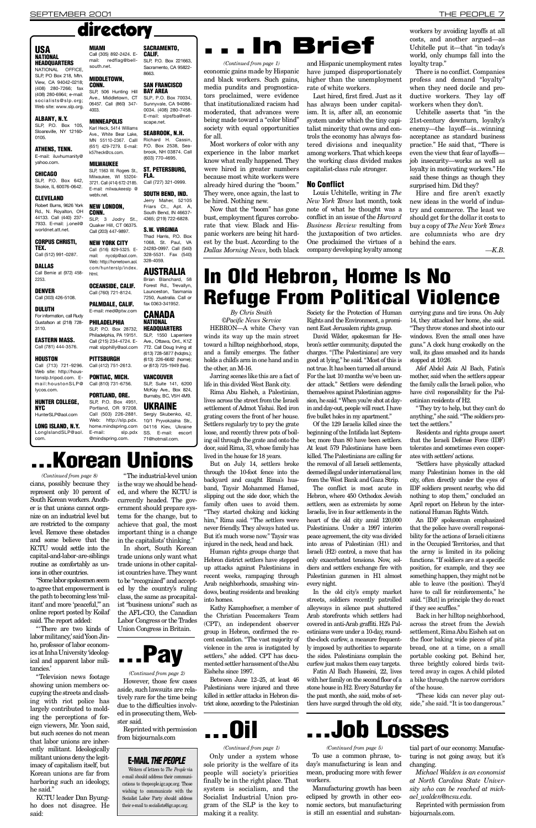"Some labor spokesmen seem to agree that empowerment is the path to becoming less 'milit and more 'peaceful," an

"'There are two kinds of labor militancy, 'said Yoon Jinho, professor of labor economics at Inha University 'ideological and apparent labor militancies.'

online report posted by Koilaf said. The report added:

KCTU leader Dan Byungho does not disagree. He said:

"The industrial-level union is the way we should be headed, and where the KCTU is currently headed. The government should prepare systems for the change, but to achieve that goal, the most important thing is a change in the capitalists' thinking."

the AFL-CIO, the Canadian Labor Congress or the Trades Union Congress in Britain.

"Television news footage showing union members occupying the streets and clashing with riot police has largely contributed to molding the perceptions of foreign viewers, Mr. Yoon said, but such scenes do not mean that labor unions are inherently militant. Ideologically militant unions deny the legitimacy of capitalism itself, but Korean unions are far from harboring such an ideology, he said."

However, those few cases aside, such lawsuits are relatively rare for the time being due to the difficulties involved in prosecuting them, Webster said.

> Reprinted with permission from bizjournals.com.

Now that the "boom" has gone bust, employment figures corroborate that view. Black and Hispanic workers are being hit hardest by the bust. According to the *Dallas Morning News*, both black

In short, South Korean trade unions only want what trade unions in other capitalist countries have. They want to be "recognized" and accepted by the country's ruling class, the same as procapitalist "business unions" such as

## **In Brief**

Reprinted with permission from bizjournals.com

### **E-MAIL THE PEOPLE**

Writers of letters to *The People* via e-mail should address their communications to thepeople.igc.apc.org. Those wishing to communicate with the Socialist Labor Party should address their e-mail to socialists@igc.apc.org.

Louis Uchitelle, writing in *The New York Times* last month, took note of what he thought was a conflict in an issue of the *Harvard Business Review* resulting from the juxtaposition of two articles. One proclaimed the virtues of a company developing loyalty among

Manufacturing growth has been e clipsed by growth in other economic sectors, but manufacturing is still an essential and substan-

tial part of our economy. Manufacturing is not going away, but it's changing.

*Michael Walden is an economist at North Carolina State University who can be reached at micha e l \_ w a l d e n @ n c s u . e d u .*

### USA **NATIONAL HEADQUARTERS**

## directory

E-mail: iluvhumanity@ vahoo.com.

SLP, P.O. Box 642, Skokie, IL 60076-0642.

economic gains made by Hispanic and black workers. Such gains, media pundits and prognosticators proclaimed, were evidence that institutionalized racism had moderated, that advances were being made toward a "color blind" society with equal opportunities

Robert Burns, 9626 York Rd., N. Royalton, OH 44133. Call (440) 237- 7933. E-mail: j.oneil@ worldnet.att.net.

DALLAS Call Bernie at (972) 458- 2253

DULUTH For information, call Rudy Gustafson at (218) 728- 3110.

for all.

Call (713) 721-9296. Web site: http://houstonslp.tripod.com. Email:houstonSLP@ lycos.com. Call (412) 751-2613. Call (810) 731-6756. PORTLAND, ORE.

HUNTER COLLEGE, N Y C HunterSLP@aol.com

### LONG ISLAND, N.Y. Long Island SLP@ ao l

Most workers of color with any experience in the labor market know what really happened. They were hired in greater numbers because most white workers were already hired during the "boom." They were, once again, the last to

Ave., Middletown, CT 06457. Call (860) 347-

**CALIF.** SLP, P.O. Box 221663, Sacramento, CA 95822- 8663.

SACRAMENTO,

#### SLP, 506 Hunting Hill SAN FRANCISCO **BAY AREA**

#### Karl Heck, 5414 Williams Ave., White Bear Lake, MN 55110-2367. Calll SEABROOK, N.H. Richard H. Cassin

be hired. Nothing new.

NEW LONDON, CONN. SLP, 3 Jodry St., Quaker Hill, CT 06375. Friars Ct., Apt. A, South Bend, IN 46637- 4365; (219) 722-6828.

### **S.W. VIRGINIA**

Call (203) 447-9897. NEW YORK CITY Call (516) 829-5325. Email: nycslp@aol.com. Web: http://hometown.aol. Thad Harris, P.O. Box 1068, St. Paul, VA 24283-0997. Call (540) 328-5531. Fax (540) 3 28 - 40 59.

#### com/hunterslp/index. **AUSTRALIA**

OCEANSIDE, CALIF. Call (760) 721-8124. PALMDALE, CALIF. E-mail: med@ptw.com PHILADELPHIA SLP, P.O. Box 28732, Philadelphia, PA 19151. Call (215) 234-4724. Email: slpphilly@aol.com

**PITTSBURGH** 

4003.

and Hispanic unemployment rates have jumped disproportionately higher than the unemployment rate of white workers.

#### PONTIAC, MICH. **VANCOUVER**

SLP, Suite 141, 6200 McKay Ave., Box 824, Burnaby, BC, V5H 4M9.

#### SLP, P.O. Box 4951, Portland, OR 97208. **UKRAINE**

Sergiy Skubenko, 42, 10/1 Pryvokzalna Str., 04116 Kiev, Ukraine SS. E-mail: escort 71@hotmail.com.

## . Korean Unions

Last hired, first fired. Just as it has always been under capitalism. It is, after all, an economic system under which the tiny capitalist minority that owns and controls the economy has always fostered divisions and inequality among workers. That which keeps the working class divided makes capitalist-class rule stronger.

### SOUTH BEND, IND. Jerry Maher, 52105

### No Conflict

**HEADQUARTERS** SLP, 1550 Laperriere Ave., Ottawa, Ont., K1Z 7T2. Call Doug Irving at (613) 728-5877 (hdqtrs.); (613) 226-6682 (home); or (613) 725-1949 (fax).

workers by avoiding layoffs at all costs, and another argued—as Uchitelle put it—that "in today's world, only chumps fall into the loyalty trap."

cians, possibly because they represent only 10 percent of South Korean workers. Another is that unions cannot organize on an industrial level but are restricted to the company level. Remove these obstacles and some believe that the KCTU would settle into the capital-and-labor-are-siblings routine as comfortably as unions in other countries. *(Continued from page 8)*

There is no conflict. Companies profess and demand "loyalty" when they need docile and productive workers. They lay off workers when they don't.

Uchitelle asserts that "in the 21st-century downturn, loyalty's enemy—the layoff—is...winning acceptance as standard business practice." He said that, "There is even the view that fear of layoffs job insecurity—works as well as loyalty in motivating workers." He said these things as though they surprised him. Did they?

Hire and fire aren't exactly new ideas in the world of industry and commerce. The least we should get for the dollar it costs to buy a copy of *The New York Times* are columnists who are dry behind the ears.

*— K . B .*

NATIONAL OFFICE,  $SI$  P PO Box 218, Mtn. View, CA 94042-0218; (408) 280-7266; fax (408) 280-6964; e-mail: socialists@slp.org; Web site: www.slp.org.

### ALBANY, N.Y.

SLP, P.O. Box 105, Sloansville, NY 12160- 0105.

> To use a common phrase, today's manufacturing is lean and mean, producing more with fewer workers. *(Continued from page 5)*

### ATHENS, TENN.

Kathy Kamphoefner, a member the Christian Peacemakers Team (CPT), an independent observer group in Hebron, confirmed the recent escalation. "The vast majority of violence in the area is instigated by settlers," she added. CPT has documented settler harassment of the Abu Eishehs since 1997.

Between June 12–25, at least 46 Palestinians were injured and three killed in settler attacks in Hebron district alone, according to the Palestinian

. . . **0** il

### CHICAGO

### CLEVELAND

#### CORPUS CHRISTI, TEX. Call (512) 991-0287.

DENVER

### Call (303) 426-5108.

David Wilder, spokesman for Hebron's settler community, disputed the charges. "[The Palestinians] are very good at lying," he said. "Most of this is not true. It has been turned all around. For the last 10 months we've been under attack." Settlers were defending themselves against Palestinian aggression, he said. "When you're shot at dayin and day-out, people will react. I have five bullet holes in my apartment. "

### EASTERN MASS.

Call (781) 444-3576.

### **HOUSTON**

com.

#### **MIAMI** Call (305) 892-2424. Email: redflag@bellsouth.net.

**MIDDLETOWN,** CONN.

**MINNEAPOLIS** 

k57heck@cs.com.

webtv.net.

html.

Residents and rights groups assert that the Israeli Defense Force (IDF) tolerates and sometimes even cooperates with settlers' actions.

"Settlers have physically attacked many Palestinian homes in the old city, often directly under the eyes of IDF soldiers present nearby, who did nothing to stop them," concluded an April report on Hebron by the international Human Rights Watch.

(651) 429-7279. E-mail: P.O. Box 2538, Seabrook, NH 03874. Call (603) 770-4695.

#### **MILWAUKEE** SLP, 1563 W. Rogers St., **ST. PETERSBURG,**

Milwaukee, WI 53204- 3721. Call (414) 672-2185. E-mail: milwaukeeslp @ FLA. Call (727) 321-0999.

Call (503) 226-2881. Web: http://slp.pdx. home.mindspring.com E-mail: slp.pdx @mindspring.com.

## In Old Hebron, Home Is No **Refuge From Political Violence**

SLP, P.O. Box 70034, Sunnyvale, CA 94086- 0034. (408) 280-7458. E-mail: slpsfba@netscape.net.

Brian Blanchard, 58 Forest Rd., Trevallyn, Launceston, Tasmania 7250, Australia. Call or fax 0363-341952.

### **CANADA NATIONAL**





*(Continued from page 2)*

#### *(Continued from page 1)*

Only under a system whose sole priority is the welfare of its people will society's priorities finally be in the right place. That system is socialism, and the Socialist Industrial Union program of the SLP is the key to making it a reality.

*(Continued from page 1)*

*By Chris Smith*

*©Pacific News Service* HEBRON-A white Chevy van winds its way up the main street toward a hilltop neighborhood, stops, and a family emerges. The father holds a child's arm in one hand and in the other, an M-16.

Jarring scenes like this are a fact of life in this divided West Bank city.

Rima Abu Eisheh, a Palestinian, lives across the street from the Israeli settlement of Admot Yishai. Red iron grating covers the front of her house. Settlers regularly try to pry the grate loose, and recently threw pots of boiling oil through the grate and onto the door, said Rima, 33, whose family has lived in the house for 18 years.

But on July 14, settlers broke through the 10-foot fence into the backyard and caught Rima's husband, Taysir Mohammed Hamed, slipping out the side door, which the family often uses to avoid them. "They started choking and kicking him," Rima said. "The settlers were never friendly. They always hated us. But it's much worse now." Taysir was injured in the neck, head and back.

Human rights groups charge that Hebron district settlers have stepped up attacks against Palestinians in recent weeks, rampaging through Arab neighborhoods, smashing windows, beating residents and breaking into homes.

Society for the Protection of Human Rights and the Environment, a prominent East Jerusalem rights group.

Of the 129 Israelis killed since the beginning of the Intifada last September, more than 80 have been settlers. At least 579 Palestinians have been killed. The Palestinians are calling for the removal of all Israeli settlements, deemed illegal under international law, from the West Bank and Gaza Strip.

The conflict is most acute in Hebron, where 450 Orthodox Jewish settlers, seen as extremists by some Israelis, live in four settlements in the heart of the old city amid 120,000 Palestinians. Under a 1997 interim peace agreement, the city was divided into areas of Palestinian (H1) and Israeli (H2) control, a move that has only exacerbated tensions. Now, soldiers and settlers exchange fire with Palestinian gunmen in H1 almost every night.

In the old city's empty market streets, soldiers recently patrolled alleyways in silence past shuttered Arab storefronts which settlers had covered in anti-Arab graffiti. H2's Palestinians were under a 10-day, roundthe-clock curfew, a measure frequently imposed by authorities to separate the sides. Palestinians complain the curfew just makes them easy targets. Fatin Al Bach Husseini, 22, lives with her family on the second floor of a stone house in H2. Every Saturday for the past month, she said, mobs of settlers have surged through the old city, carrying guns and tire irons. On July 14, they attacked her home, she said. "They throw stones and shoot into our windows. Even the small ones have guns." A clock hung crookedly on the wall, its glass smashed and its hands stopped at 10:26.

Afef Abdel Aziz Al Bach, Fatin's mother, said when the settlers appear the family calls the Israeli police, who have civil responsibility for the Palestinian residents of H2.

"They try to help, but they can't do anything," she said. "The soldiers protect the settlers."

An IDF spokesman emphasized that the police have overall responsibility for the actions of Israeli citizens in the Occupied Territories, and that the army is limited in its policing functions. "If soldiers are at a specific position, for example, and they see something happen, they might not be able to leave (the position). They'd have to call for reinforcements," he said. "[But] in principle they do react if they see scuffles."

Back in her hilltop neighborhood, across the street from the Jewish settlement, Rima Abu Eisheh sat on the floor baking wide pieces of pita bread, one at a time, on a small portable cooking pot. Behind her, three brightly colored birds twittered away in cages. A child piloted a bike through the narrow corridors of the house.

"These kids can never play outside," she said. "It is too dangerous."